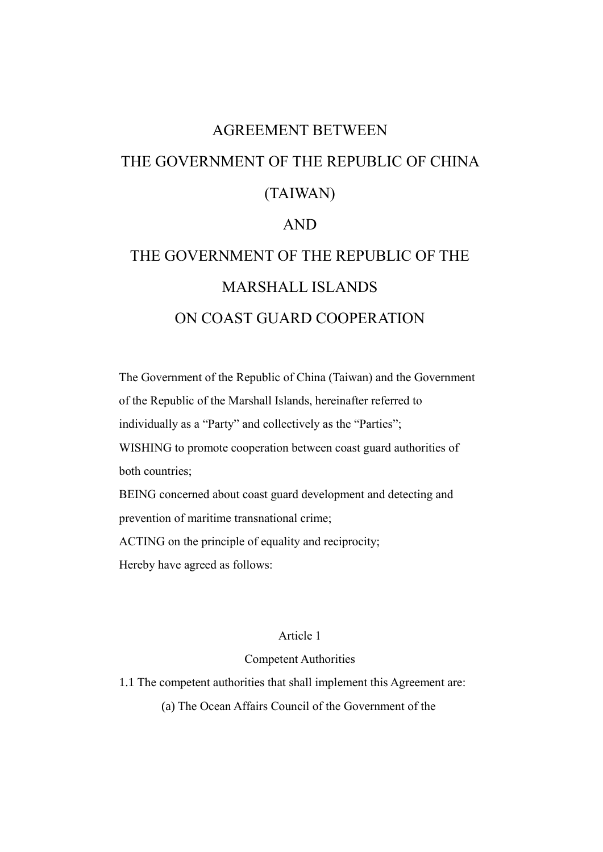# AGREEMENT BETWEEN THE GOVERNMENT OF THE REPUBLIC OF CHINA (TAIWAN) AND

# THE GOVERNMENT OF THE REPUBLIC OF THE MARSHALL ISLANDS ON COAST GUARD COOPERATION

The Government of the Republic of China (Taiwan) and the Government of the Republic of the Marshall Islands, hereinafter referred to individually as a "Party" and collectively as the "Parties"; WISHING to promote cooperation between coast guard authorities of both countries; BEING concerned about coast guard development and detecting and prevention of maritime transnational crime; ACTING on the principle of equality and reciprocity; Hereby have agreed as follows:

## Article 1

# Competent Authorities

1.1 The competent authorities that shall implement this Agreement are:

(a) The Ocean Affairs Council of the Government of the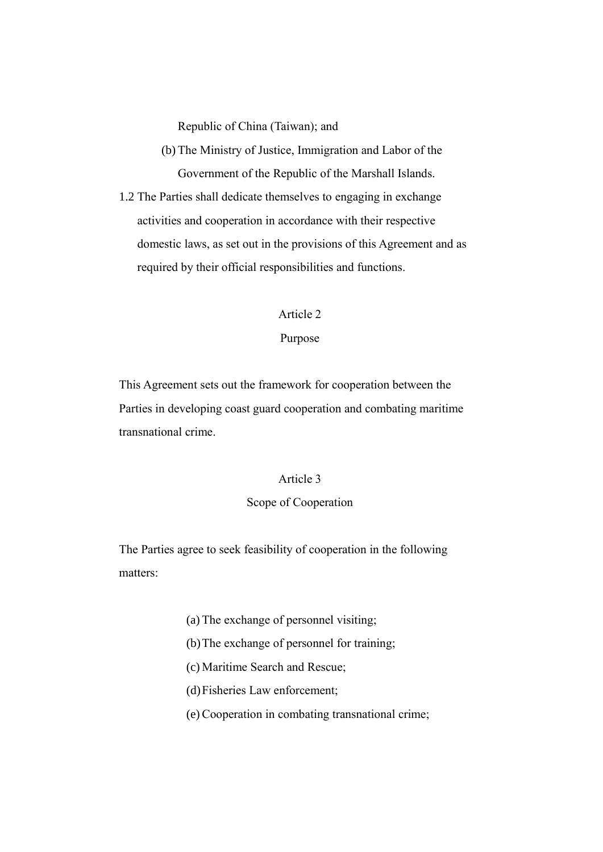Republic of China (Taiwan); and

- (b) The Ministry of Justice, Immigration and Labor of the Government of the Republic of the Marshall Islands.
- 1.2 The Parties shall dedicate themselves to engaging in exchange activities and cooperation in accordance with their respective domestic laws, as set out in the provisions of this Agreement and as required by their official responsibilities and functions.

#### Article 2

### Purpose

This Agreement sets out the framework for cooperation between the Parties in developing coast guard cooperation and combating maritime transnational crime.

## Article 3

## Scope of Cooperation

The Parties agree to seek feasibility of cooperation in the following matters:

- (a) The exchange of personnel visiting;
- (b)The exchange of personnel for training;
- (c) Maritime Search and Rescue;
- (d)Fisheries Law enforcement;
- (e) Cooperation in combating transnational crime;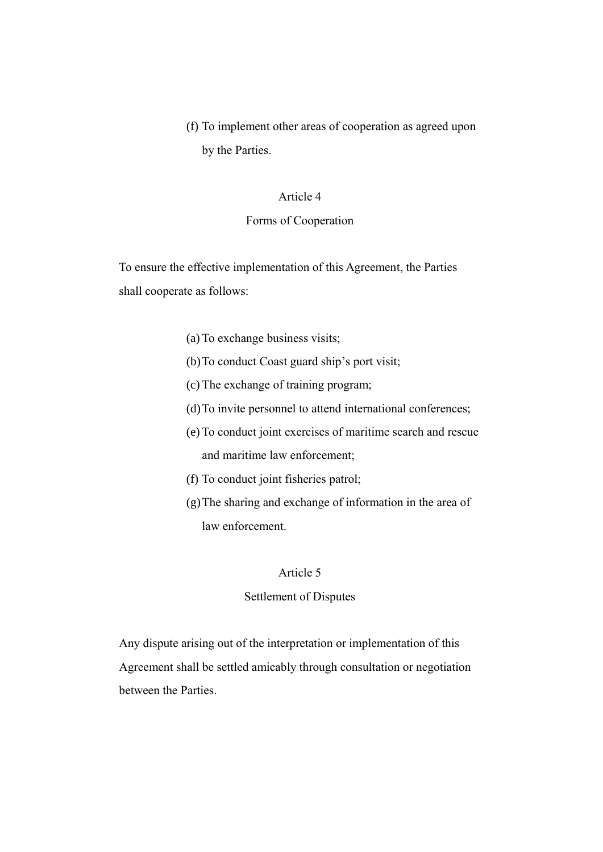(f) To implement other areas of cooperation as agreed upon by the Parties.

## Article 4

## Forms of Cooperation

To ensure the effective implementation of this Agreement, the Parties shall cooperate as follows:

- (a) To exchange business visits;
- (b)To conduct Coast guard ship's port visit;
- (c) The exchange of training program;
- (d)To invite personnel to attend international conferences;
- (e) To conduct joint exercises of maritime search and rescue and maritime law enforcement;
- (f) To conduct joint fisheries patrol;
- (g)The sharing and exchange of information in the area of law enforcement.

# Article 5

## Settlement of Disputes

Any dispute arising out of the interpretation or implementation of this Agreement shall be settled amicably through consultation or negotiation between the Parties.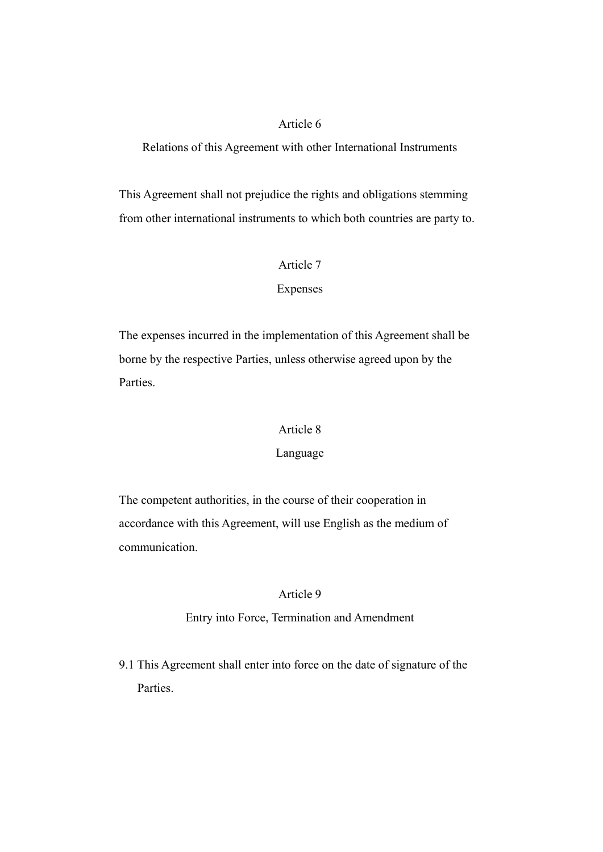# Article 6

Relations of this Agreement with other International Instruments

This Agreement shall not prejudice the rights and obligations stemming from other international instruments to which both countries are party to.

## Article 7

## Expenses

The expenses incurred in the implementation of this Agreement shall be borne by the respective Parties, unless otherwise agreed upon by the Parties.

#### Article 8

#### Language

The competent authorities, in the course of their cooperation in accordance with this Agreement, will use English as the medium of communication.

## Article 9

### Entry into Force, Termination and Amendment

9.1 This Agreement shall enter into force on the date of signature of the Parties.